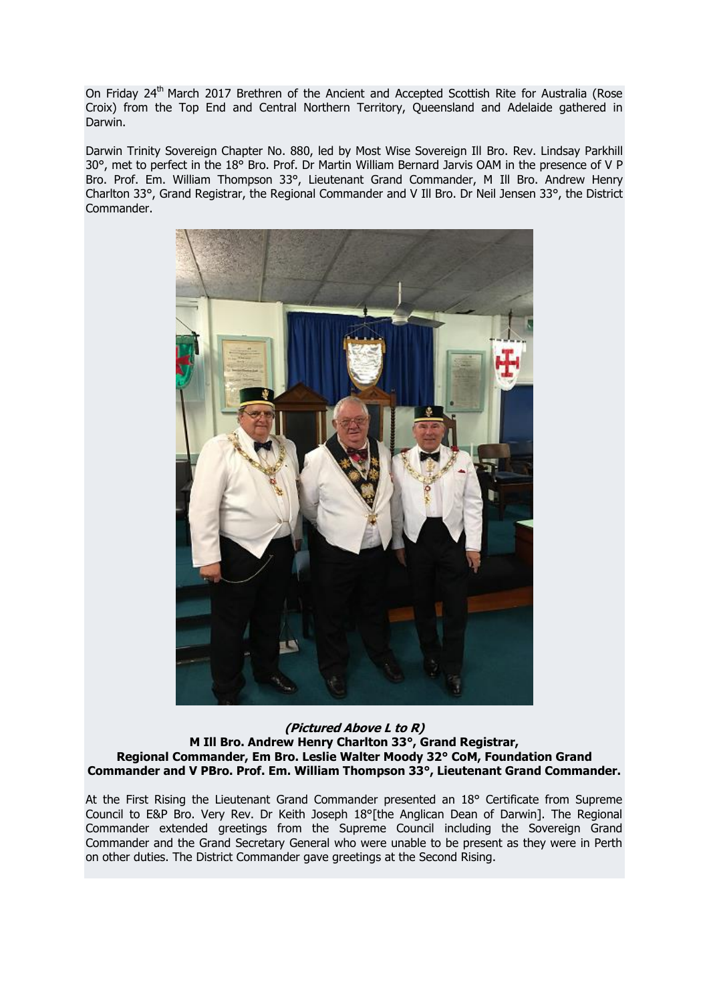On Friday 24<sup>th</sup> March 2017 Brethren of the Ancient and Accepted Scottish Rite for Australia (Rose Croix) from the Top End and Central Northern Territory, Queensland and Adelaide gathered in Darwin.

Darwin Trinity Sovereign Chapter No. 880, led by Most Wise Sovereign Ill Bro. Rev. Lindsay Parkhill 30°, met to perfect in the 18° Bro. Prof. Dr Martin William Bernard Jarvis OAM in the presence of V P Bro. Prof. Em. William Thompson 33°, Lieutenant Grand Commander, M Ill Bro. Andrew Henry Charlton 33°, Grand Registrar, the Regional Commander and V Ill Bro. Dr Neil Jensen 33°, the District Commander.



**(Pictured Above L to R) M Ill Bro. Andrew Henry Charlton 33°, Grand Registrar, Regional Commander, Em Bro. Leslie Walter Moody 32° CoM, Foundation Grand Commander and V PBro. Prof. Em. William Thompson 33°, Lieutenant Grand Commander.**

At the First Rising the Lieutenant Grand Commander presented an 18° Certificate from Supreme Council to E&P Bro. Very Rev. Dr Keith Joseph 18°[the Anglican Dean of Darwin]. The Regional Commander extended greetings from the Supreme Council including the Sovereign Grand Commander and the Grand Secretary General who were unable to be present as they were in Perth on other duties. The District Commander gave greetings at the Second Rising.